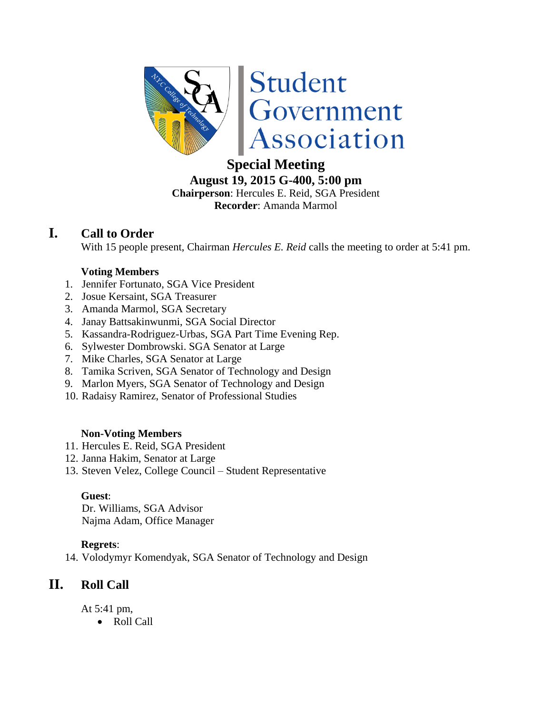

# **Special Meeting**

**August 19, 2015 G-400, 5:00 pm Chairperson**: Hercules E. Reid, SGA President **Recorder**: Amanda Marmol

## **I. Call to Order**

With 15 people present, Chairman *Hercules E. Reid* calls the meeting to order at 5:41 pm.

#### **Voting Members**

- 1. Jennifer Fortunato, SGA Vice President
- 2. Josue Kersaint, SGA Treasurer
- 3. Amanda Marmol, SGA Secretary
- 4. Janay Battsakinwunmi, SGA Social Director
- 5. Kassandra-Rodriguez-Urbas, SGA Part Time Evening Rep.
- 6. Sylwester Dombrowski. SGA Senator at Large
- 7. Mike Charles, SGA Senator at Large
- 8. Tamika Scriven, SGA Senator of Technology and Design
- 9. Marlon Myers, SGA Senator of Technology and Design
- 10. Radaisy Ramirez, Senator of Professional Studies

#### **Non-Voting Members**

- 11. Hercules E. Reid, SGA President
- 12. Janna Hakim, Senator at Large
- 13. Steven Velez, College Council Student Representative

#### **Guest**:

Dr. Williams, SGA Advisor Najma Adam, Office Manager

#### **Regrets**:

14. Volodymyr Komendyak, SGA Senator of Technology and Design

## **II. Roll Call**

At 5:41 pm,

• Roll Call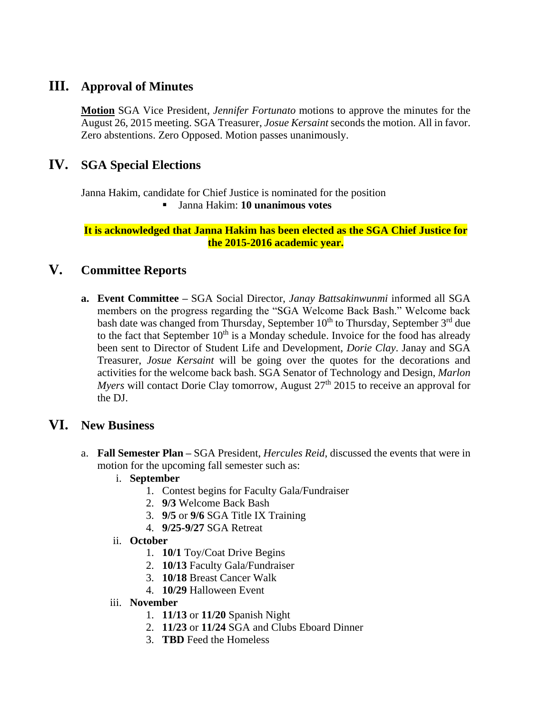## **III. Approval of Minutes**

**Motion** SGA Vice President, *Jennifer Fortunato* motions to approve the minutes for the August 26, 2015 meeting. SGA Treasurer, *Josue Kersaint* seconds the motion. All in favor. Zero abstentions. Zero Opposed. Motion passes unanimously.

## **IV. SGA Special Elections**

Janna Hakim, candidate for Chief Justice is nominated for the position Janna Hakim: **10 unanimous votes**

**It is acknowledged that Janna Hakim has been elected as the SGA Chief Justice for the 2015-2016 academic year.**

## **V. Committee Reports**

**a. Event Committee –** SGA Social Director, *Janay Battsakinwunmi* informed all SGA members on the progress regarding the "SGA Welcome Back Bash." Welcome back bash date was changed from Thursday, September 10<sup>th</sup> to Thursday, September 3<sup>rd</sup> due to the fact that September  $10<sup>th</sup>$  is a Monday schedule. Invoice for the food has already been sent to Director of Student Life and Development, *Dorie Clay*. Janay and SGA Treasurer, *Josue Kersaint* will be going over the quotes for the decorations and activities for the welcome back bash. SGA Senator of Technology and Design, *Marlon Myers* will contact Dorie Clay tomorrow, August 27<sup>th</sup> 2015 to receive an approval for the DJ.

## **VI. New Business**

- a. **Fall Semester Plan –** SGA President, *Hercules Reid*, discussed the events that were in motion for the upcoming fall semester such as:
	- i. **September**
		- 1. Contest begins for Faculty Gala/Fundraiser
		- 2. **9/3** Welcome Back Bash
		- 3. **9/5** or **9/6** SGA Title IX Training
		- 4. **9/25-9/27** SGA Retreat
	- ii. **October** 
		- 1. **10/1** Toy/Coat Drive Begins
		- 2. **10/13** Faculty Gala/Fundraiser
		- 3. **10/18** Breast Cancer Walk
		- 4. **10/29** Halloween Event
	- iii. **November** 
		- 1. **11/13** or **11/20** Spanish Night
		- 2. **11/23** or **11/24** SGA and Clubs Eboard Dinner
		- 3. **TBD** Feed the Homeless